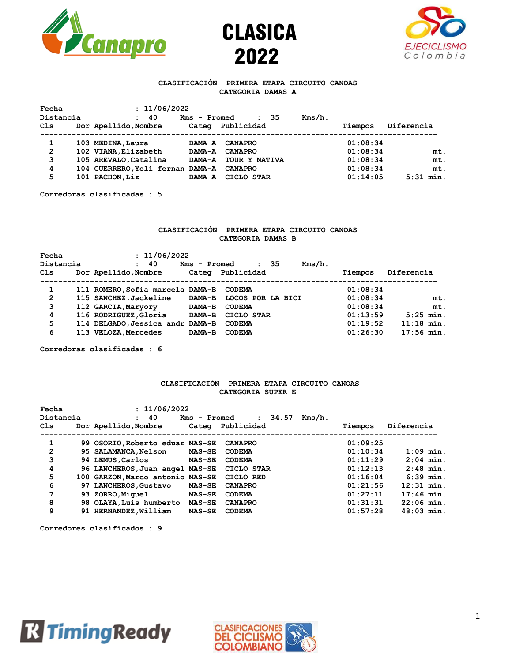





# **CLASIFICACIÓN PRIMERA ETAPA CIRCUITO CANOAS CATEGORIA DAMAS A**

|     | Fecha          | : 11/06/2022                     |              |                     |           |          |             |
|-----|----------------|----------------------------------|--------------|---------------------|-----------|----------|-------------|
|     | Distancia      | 40<br>$\mathbf{r}$               | Kms - Promed | -35<br>$\mathbf{r}$ | $Kms/h$ . |          |             |
| Cls |                | Dor Apellido, Nombre             | Categ        | Publicidad          |           | Tiempos  | Diferencia  |
|     |                |                                  |              |                     |           |          |             |
|     |                | 103 MEDINA, Laura                | DAMA-A       | <b>CANAPRO</b>      |           | 01:08:34 |             |
|     | $\overline{2}$ | 102 VIANA, Elizabeth             | DAMA-A       | <b>CANAPRO</b>      |           | 01:08:34 | mt.         |
|     | 3              | 105 AREVALO, Catalina            | DAMA-A       | TOUR Y NATIVA       |           | 01:08:34 | mt.         |
|     | 4              | 104 GUERRERO, Yoli fernan DAMA-A |              | <b>CANAPRO</b>      |           | 01:08:34 | mt.         |
|     | 5              | 101 PACHON, Liz                  | DAMA-A       | CICLO STAR          |           | 01:14:05 | $5:31$ min. |
|     |                |                                  |              |                     |           |          |             |

**Corredoras clasificadas : 5**

# **CLASIFICACIÓN PRIMERA ETAPA CIRCUITO CANOAS CATEGORIA DAMAS B**

| Fecha          |                                  | : 11/06/2022  |                   |  |           |          |              |
|----------------|----------------------------------|---------------|-------------------|--|-----------|----------|--------------|
| Distancia      | : 40                             | Kms - Promed  | $\cdot$ 35        |  | $Kms/h$ . |          |              |
| Cls            | Dor Apellido, Nombre             | Categ         | Publicidad        |  |           | Tiempos  | Diferencia   |
|                |                                  |               |                   |  |           |          |              |
| 1              | 111 ROMERO, Sofia marcela DAMA-B |               | CODEMA            |  |           | 01:08:34 |              |
| $\overline{2}$ | 115 SANCHEZ, Jackeline           | <b>DAMA-B</b> | LOCOS POR LA BICI |  |           | 01:08:34 | mt.          |
| 3              | 112 GARCIA, Maryory              | DAMA-B        | <b>CODEMA</b>     |  |           | 01:08:34 | mt.          |
| 4              | 116 RODRIGUEZ, Gloria            | DAMA-B        | CICLO STAR        |  |           | 01:13:59 | $5:25$ min.  |
| 5              | 114 DELGADO, Jessica andr DAMA-B |               | <b>CODEMA</b>     |  |           | 01:19:52 | $11:18$ min. |
| 6              | 113 VELOZA, Mercedes             | DAMA-B        | <b>CODEMA</b>     |  |           | 01:26:30 | $17:56$ min. |
|                |                                  |               |                   |  |           |          |              |

**Corredoras clasificadas : 6**

# **CLASIFICACIÓN PRIMERA ETAPA CIRCUITO CANOAS CATEGORIA SUPER E**

| Fecha     |  | : 11/06/2022                               |               |                  |         |           |          |              |
|-----------|--|--------------------------------------------|---------------|------------------|---------|-----------|----------|--------------|
| Distancia |  | 40<br>$\mathbf{L}$                         | Kms - Promed  |                  | : 34.57 | $Kms/h$ . |          |              |
| Cls       |  | Dor Apellido, Nombre                       |               | Categ Publicidad |         |           | Tiempos  | Diferencia   |
|           |  |                                            |               |                  |         |           |          |              |
| 1         |  | 99 OSORIO, Roberto eduar MAS-SE            |               | <b>CANAPRO</b>   |         |           | 01:09:25 |              |
| 2         |  | <b>95 SALAMANCA,Nelson</b>                 | <b>MAS-SE</b> | <b>CODEMA</b>    |         |           | 01:10:34 | $1:09$ min.  |
| 3         |  | 94 LEMUS, Carlos                           | <b>MAS-SE</b> | <b>CODEMA</b>    |         |           | 01:11:29 | $2:04$ min.  |
| 4         |  | 96 LANCHEROS, Juan angel MAS-SE CICLO STAR |               |                  |         |           | 01:12:13 | $2:48$ min.  |
| 5         |  | 100 GARZON, Marco antonio MAS-SE CICLO RED |               |                  |         |           | 01:16:04 | $6:39$ min.  |
| 6         |  | 97 LANCHEROS, Gustavo                      | <b>MAS-SE</b> | <b>CANAPRO</b>   |         |           | 01:21:56 | $12:31$ min. |
| 7         |  | 93 ZORRO, Miquel                           | <b>MAS-SE</b> | <b>CODEMA</b>    |         |           | 01:27:11 | $17:46$ min. |
| 8         |  | 98 OLAYA, Luis humberto                    | <b>MAS-SE</b> | <b>CANAPRO</b>   |         |           | 01:31:31 | $22:06$ min. |
| 9         |  | 91 HERNANDEZ, William                      | <b>MAS-SE</b> | <b>CODEMA</b>    |         |           | 01:57:28 | $48:03$ min. |

**Corredores clasificados : 9**



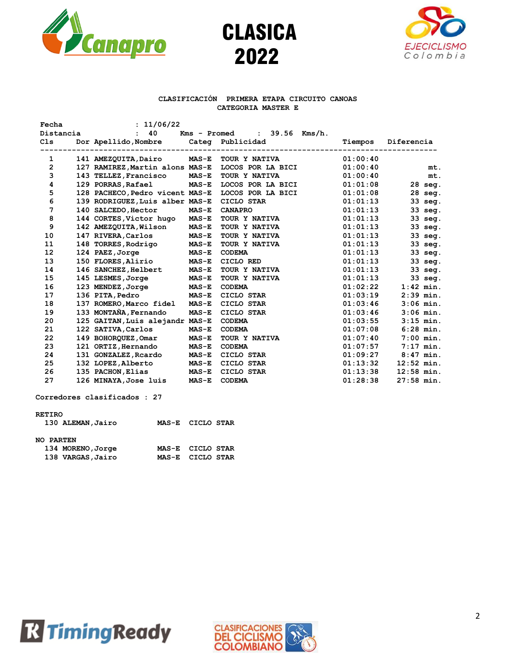





### **CLASIFICACIÓN PRIMERA ETAPA CIRCUITO CANOAS CATEGORIA MASTER E**

| Fecha           | : 11/06/22                      |              |                                    |          |              |
|-----------------|---------------------------------|--------------|------------------------------------|----------|--------------|
| Distancia       | 40                              | Kms - Promed | $: 39.56$ Kms/h.                   |          |              |
| C <sub>1s</sub> | Dor Apellido, Nombre            |              | Categ Publicidad                   | Tiempos  | Diferencia   |
| 1               | 141 AMEZQUITA, Dairo            | <b>MAS-E</b> | TOUR Y NATIVA                      | 01:00:40 |              |
| $\mathbf{2}$    | 127 RAMIREZ, Martin alons MAS-E |              | LOCOS POR LA BICI                  | 01:00:40 |              |
| 3               |                                 |              |                                    |          | mt.          |
|                 | 143 TELLEZ, Francisco           | $MAS-E$      | TOUR Y NATIVA<br>LOCOS POR LA BICI | 01:00:40 | mt.          |
| 4<br>5          | 129 PORRAS, Rafael              | <b>MAS-E</b> |                                    | 01:01:08 | $28$ seq.    |
|                 | 128 PACHECO, Pedro vicent MAS-E |              | LOCOS POR LA BICI                  | 01:01:08 | 28 seg.      |
| 6<br>7          | 139 RODRIGUEZ, Luis alber MAS-E |              | CICLO STAR                         | 01:01:13 | 33 seg.      |
|                 | 140 SALCEDO, Hector             | $MAS-E$      | <b>CANAPRO</b>                     | 01:01:13 | 33 seg.      |
| 8               | 144 CORTES, Victor hugo         | $MAS-E$      | TOUR Y NATIVA                      | 01:01:13 | 33 seg.      |
| 9               | 142 AMEZQUITA, Wilson           | $MAS-E$      | TOUR Y NATIVA                      | 01:01:13 | 33 seg.      |
| 10              | 147 RIVERA, Carlos              | <b>MAS-E</b> | TOUR Y NATIVA                      | 01:01:13 | 33 seg.      |
| 11              | 148 TORRES, Rodrigo             | $MAS-E$      | TOUR Y NATIVA                      | 01:01:13 | 33 seg.      |
| 12              | 124 PAEZ, Jorge                 | $MAS-E$      | <b>CODEMA</b>                      | 01:01:13 | 33 seg.      |
| 13              | 150 FLORES, Alirio              | $MAS-E$      | CICLO RED                          | 01:01:13 | 33 seg.      |
| 14              | 146 SANCHEZ, Helbert            | $MAS-E$      | TOUR Y NATIVA                      | 01:01:13 | 33 seg.      |
| 15              | 145 LESMES, Jorge               | <b>MAS-E</b> | TOUR Y NATIVA                      | 01:01:13 | 33 seg.      |
| 16              | 123 MENDEZ, Jorge               | $MAS-E$      | <b>CODEMA</b>                      | 01:02:22 | $1:42$ min.  |
| 17              | 136 PITA, Pedro                 | $MAS-E$      | CICLO STAR                         | 01:03:19 | $2:39$ min.  |
| 18              | 137 ROMERO, Marco fidel         | $MAS-E$      | CICLO STAR                         | 01:03:46 | $3:06$ min.  |
| 19              | 133 MONTAÑA, Fernando           | $MAS-E$      | CICLO STAR                         | 01:03:46 | $3:06$ min.  |
| 20              | 125 GAITAN, Luis alejandr MAS-E |              | <b>CODEMA</b>                      | 01:03:55 | $3:15$ min.  |
| 21              | 122 SATIVA, Carlos              | $MAS-E$      | <b>CODEMA</b>                      | 01:07:08 | $6:28$ min.  |
| 22              | 149 BOHORQUEZ, Omar             | $MAS-E$      | TOUR Y NATIVA                      | 01:07:40 | $7:00$ min.  |
| 23              | 121 ORTIZ, Hernando             | <b>MAS-E</b> | <b>CODEMA</b>                      | 01:07:57 | $7:17$ min.  |
| 24              | 131 GONZALEZ, Reardo            | $MAS-E$      | CICLO STAR                         | 01:09:27 | $8:47$ min.  |
| 25              | 132 LOPEZ, Alberto              | <b>MAS-E</b> | CICLO STAR                         | 01:13:32 | $12:52$ min. |
| 26              | 135 PACHON, Elias               | $MAS-E$      | CICLO STAR                         | 01:13:38 | $12:58$ min. |
| 27              | 126 MINAYA, Jose luis           | $MAS-E$      | <b>CODEMA</b>                      | 01:28:38 | $27:58$ min. |
|                 |                                 |              |                                    |          |              |

**Corredores clasificados : 27**

### **RETIRO**

| 130 ALEMAN, Jairo | MAS-E CICLO STAR |
|-------------------|------------------|
| <b>NO PARTEN</b>  |                  |
| 134 MORENO, Jorge | MAS-E CICLO STAR |
| 138 VARGAS, Jairo | MAS-E CICLO STAR |



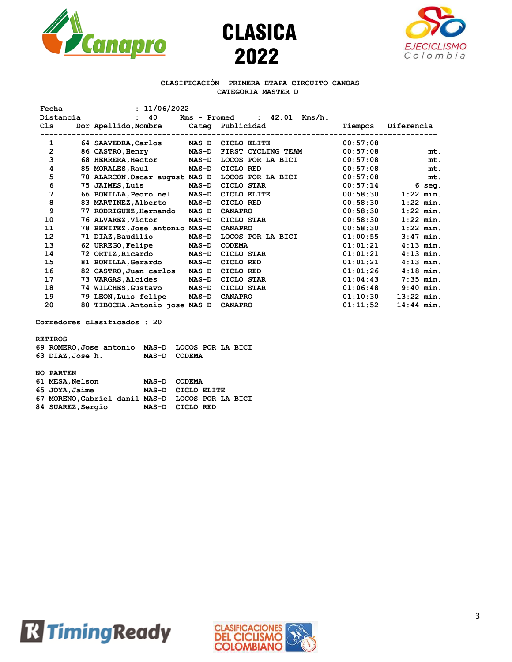





### **CLASIFICACIÓN PRIMERA ETAPA CIRCUITO CANOAS CATEGORIA MASTER D**

| : 11/06/2022<br>Fecha |  |                                |              |                                  |          |              |
|-----------------------|--|--------------------------------|--------------|----------------------------------|----------|--------------|
| Distancia             |  | 40<br>$\mathbf{r}$             |              | : $42.01$ Kms/h.<br>Kms - Promed |          |              |
| Cls                   |  | Dor Apellido, Nombre           |              | Categ Publicidad                 | Tiempos  | Diferencia   |
| 1                     |  | 64 SAAVEDRA, Carlos            | <b>MAS-D</b> | CICLO ELITE                      | 00:57:08 |              |
| 2                     |  | 86 CASTRO, Henry               | <b>MAS-D</b> | FIRST CYCLING TEAM               | 00:57:08 | mt.          |
| 3                     |  | 68 HERRERA, Hector             | <b>MAS-D</b> | LOCOS POR LA BICI                | 00:57:08 | mt.          |
| 4                     |  | 85 MORALES, Raul               | <b>MAS-D</b> | CICLO RED                        | 00:57:08 | mt.          |
| 5                     |  | 70 ALARCON, Oscar august MAS-D |              | LOCOS POR LA BICI                | 00:57:08 | mt.          |
| 6                     |  | 75 JAIMES, Luis                | <b>MAS-D</b> | CICLO STAR                       | 00:57:14 | 6 seg.       |
| 7                     |  | 66 BONILLA, Pedro nel          | <b>MAS-D</b> | CICLO ELITE                      | 00:58:30 | $1:22$ min.  |
| 8                     |  | 83 MARTINEZ, Alberto           | <b>MAS-D</b> | CICLO RED                        | 00:58:30 | $1:22$ min.  |
| 9                     |  | 77 RODRIGUEZ, Hernando         | <b>MAS-D</b> | <b>CANAPRO</b>                   | 00:58:30 | $1:22$ min.  |
| 10                    |  | 76 ALVAREZ, Victor             | <b>MAS-D</b> | CICLO STAR                       | 00:58:30 | $1:22$ min.  |
| 11                    |  | 78 BENITEZ, Jose antonio MAS-D |              | <b>CANAPRO</b>                   | 00:58:30 | $1:22$ min.  |
| 12                    |  | 71 DIAZ,Baudilio               | <b>MAS-D</b> | LOCOS POR LA BICI                | 01:00:55 | $3:47$ min.  |
| 13                    |  | 62 URREGO, Felipe              | <b>MAS-D</b> | <b>CODEMA</b>                    | 01:01:21 | $4:13$ min.  |
| 14                    |  | 72 ORTIZ,Ricardo               | <b>MAS-D</b> | CICLO STAR                       | 01:01:21 | $4:13$ min.  |
| 15                    |  | 81 BONILLA, Gerardo            | <b>MAS-D</b> | CICLO RED                        | 01:01:21 | $4:13$ min.  |
| 16                    |  | 82 CASTRO, Juan carlos         | <b>MAS-D</b> | CICLO RED                        | 01:01:26 | $4:18$ min.  |
| 17                    |  | 73 VARGAS, Alcides             | <b>MAS-D</b> | CICLO STAR                       | 01:04:43 | $7:35$ min.  |
| 18                    |  | 74 WILCHES, Gustavo            | <b>MAS-D</b> | CICLO STAR                       | 01:06:48 | $9:40$ min.  |
| 19                    |  | 79 LEON, Luis felipe           | <b>MAS-D</b> | <b>CANAPRO</b>                   | 01:10:30 | $13:22$ min. |
| 20                    |  | 80 TIBOCHA, Antonio jose MAS-D |              | <b>CANAPRO</b>                   | 01:11:52 | $14:44$ min. |

**Corredores clasificados : 20**

#### **RETIROS**

| 69 ROMERO, Jose antonio MAS-D LOCOS POR LA BICI |              |  |  |
|-------------------------------------------------|--------------|--|--|
| 63 DIAZ, Jose h.                                | MAS-D CODEMA |  |  |
|                                                 |              |  |  |

| <b>NO PARTEN</b>                                 |                   |  |  |
|--------------------------------------------------|-------------------|--|--|
| 61 MESA, Nelson                                  | MAS-D CODEMA      |  |  |
| 65 JOYA, Jaime                                   | MAS-D CICLO ELITE |  |  |
| 67 MORENO, Gabriel danil MAS-D LOCOS POR LA BICI |                   |  |  |
| 84 SUAREZ, Sergio                                | MAS-D CICLO RED   |  |  |



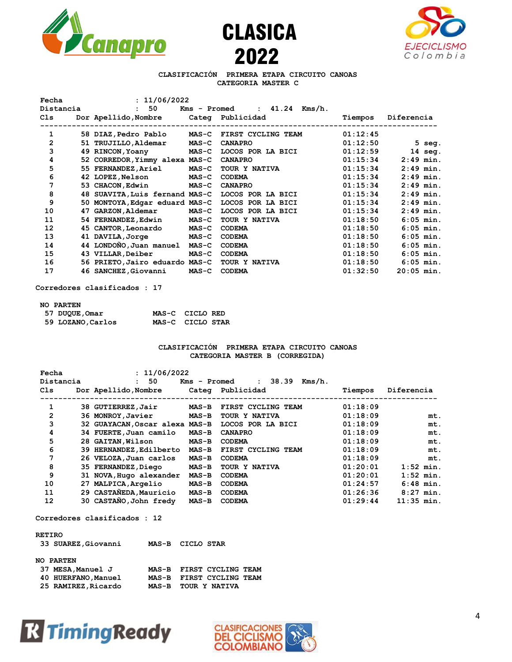





# **CLASIFICACIÓN PRIMERA ETAPA CIRCUITO CANOAS CATEGORIA MASTER C**

| Fecha          | : 11/06/2022                          |              |                               |          |              |
|----------------|---------------------------------------|--------------|-------------------------------|----------|--------------|
| Distancia      | 50<br>$\mathbf{H}$                    |              | $Kms - Promed : 41.24 Kms/h.$ |          |              |
| C1s            | Dor Apellido, Nombre Categ Publicidad |              |                               | Tiempos  | Diferencia   |
|                |                                       |              |                               |          |              |
| 1              | 58 DIAZ,Pedro Pablo                   |              | MAS-C FIRST CYCLING TEAM      | 01:12:45 |              |
| $\overline{2}$ | 51 TRUJILLO, Aldemar                  | $MAS-C$      | <b>CANAPRO</b>                | 01:12:50 | $5$ seg.     |
| 3              | 49 RINCON, Yoany                      | <b>MAS-C</b> | LOCOS POR LA BICI             | 01:12:59 | $14$ seq.    |
| 4              | 52 CORREDOR, Yimmy alexa MAS-C        |              | <b>CANAPRO</b>                | 01:15:34 | $2:49$ min.  |
| 5              | 55 FERNANDEZ, Ariel                   | <b>MAS-C</b> | <b>TOUR Y NATIVA</b>          | 01:15:34 | $2:49$ min.  |
| 6              | 42 LOPEZ, Nelson                      | $MAS-C$      | <b>CODEMA</b>                 | 01:15:34 | $2:49$ min.  |
| 7              | 53 CHACON, Edwin                      | $MAS-C$      | <b>CANAPRO</b>                | 01:15:34 | $2:49$ min.  |
| 8              | 48 SUAVITA, Luis fernand MAS-C        |              | LOCOS POR LA BICI             | 01:15:34 | $2:49$ min.  |
| 9              | 50 MONTOYA, Edgar eduard MAS-C        |              | LOCOS POR LA BICI             | 01:15:34 | $2:49$ min.  |
| 10             | 47 GARZON, Aldemar                    | <b>MAS-C</b> | LOCOS POR LA BICI             | 01:15:34 | $2:49$ min.  |
| 11             | 54 FERNANDEZ, Edwin                   | <b>MAS-C</b> | TOUR Y NATIVA                 | 01:18:50 | $6:05$ min.  |
| 12             | 45 CANTOR, Leonardo                   | $MAS-C$      | <b>CODEMA</b>                 | 01:18:50 | $6:05$ min.  |
| 13             | 41 DAVILA, Jorge                      | $MAS-C$      | <b>CODEMA</b>                 | 01:18:50 | $6:05$ min.  |
| 14             | 44 LONDONO, Juan manuel               | $MAS-C$      | <b>CODEMA</b>                 | 01:18:50 | $6:05$ min.  |
| 15             | 43 VILLAR, Deiber                     | $MAS-C$      | <b>CODEMA</b>                 | 01:18:50 | $6:05$ min.  |
| 16             | 56 PRIETO, Jairo eduardo MAS-C        |              | TOUR Y NATIVA                 | 01:18:50 | $6:05$ min.  |
| 17             | 46 SANCHEZ, Giovanni                  | $MAS-C$      | <b>CODEMA</b>                 | 01:32:50 | $20:05$ min. |
|                |                                       |              |                               |          |              |

**Corredores clasificados : 17**

### **NO PARTEN**

| 57 DUQUE, Omar    | MAS-C CICLO RED  |  |
|-------------------|------------------|--|
| 59 LOZANO, Carlos | MAS-C CICLO STAR |  |

# **CLASIFICACIÓN PRIMERA ETAPA CIRCUITO CANOAS CATEGORIA MASTER B (CORREGIDA)**

| Fecha     | : 11/06/2022                   |              |                                 |          |              |
|-----------|--------------------------------|--------------|---------------------------------|----------|--------------|
| Distancia | 50<br>$\mathbf{L}$             | Kms - Promed | 38.39<br>Kms/h.<br>$\mathbf{r}$ |          |              |
| Cls       | Dor Apellido, Nombre           |              | Categ Publicidad                | Tiempos  | Diferencia   |
| 1         | 38 GUTIERREZ, Jair             | <b>MAS-B</b> | FIRST CYCLING TEAM              | 01:18:09 |              |
| 2         | 36 MONROY, Javier              | <b>MAS-B</b> | TOUR Y NATIVA                   | 01:18:09 | mt.          |
| 3         | 32 GUAYACAN, Oscar alexa MAS-B |              | LOCOS POR LA BICI               | 01:18:09 | mt.          |
| 4         | 34 FUERTE, Juan camilo         | $MAS-B$      | <b>CANAPRO</b>                  | 01:18:09 | mt.          |
| 5         | 28 GAITAN, Wilson              | $MAS-B$      | <b>CODEMA</b>                   | 01:18:09 | mt.          |
| 6         | 39 HERNANDEZ, Edilberto        | <b>MAS-B</b> | FIRST CYCLING TEAM              | 01:18:09 | mt.          |
| 7         | 26 VELOZA, Juan carlos         | $MAS-B$      | <b>CODEMA</b>                   | 01:18:09 | mt.          |
| 8         | 35 FERNANDEZ, Diego            | <b>MAS-B</b> | TOUR Y NATIVA                   | 01:20:01 | $1:52$ min.  |
| 9         | 31 NOVA, Hugo alexander        | <b>MAS-B</b> | <b>CODEMA</b>                   | 01:20:01 | $1:52$ min.  |
| 10        | 27 MALPICA, Argelio            | $MAS-B$      | <b>CODEMA</b>                   | 01:24:57 | $6:48$ min.  |
| 11        | 29 CASTAÑEDA, Mauricio         | <b>MAS-B</b> | <b>CODEMA</b>                   | 01:26:36 | $8:27$ min.  |
| 12        | 30 CASTAÑO, John fredy         | <b>MAS-B</b> | <b>CODEMA</b>                   | 01:29:44 | $11:35$ min. |
|           |                                |              |                                 |          |              |

#### **Corredores clasificados : 12**

#### **RETIRO**

| 33 SUAREZ, Giovanni | MAS-B CICLO STAR |                          |  |
|---------------------|------------------|--------------------------|--|
| <b>NO PARTEN</b>    |                  |                          |  |
| 37 MESA,Manuel J    |                  | MAS-B FIRST CYCLING TEAM |  |
| 40 HUERFANO, Manuel |                  | MAS-B FIRST CYCLING TEAM |  |
| 25 RAMIREZ, Ricardo |                  | MAS-B TOUR Y NATIVA      |  |



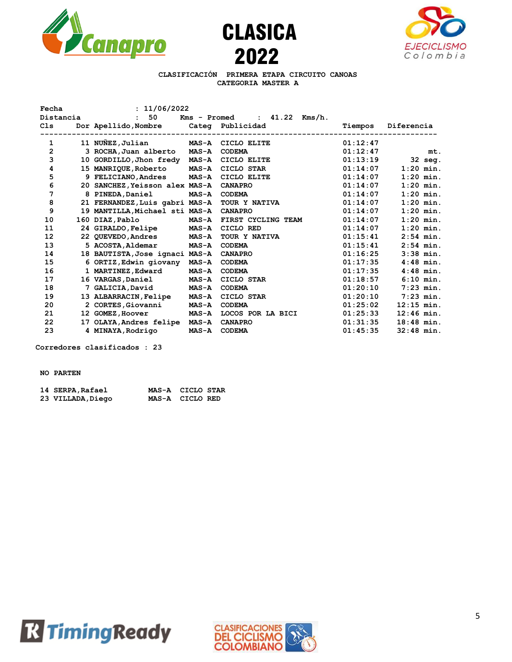





# **CLASIFICACIÓN PRIMERA ETAPA CIRCUITO CANOAS CATEGORIA MASTER A**

| Fecha     | : 11/06/2022                   |              |                    |          |              |
|-----------|--------------------------------|--------------|--------------------|----------|--------------|
| Distancia | 50                             | Kms - Promed | : 41.22<br>Kms/h.  |          |              |
| C1s       | Dor Apellido,Nombre            |              | Categ Publicidad   | Tiempos  | Diferencia   |
|           |                                |              |                    |          |              |
| 1         | 11 NUÑEZ, Julian               | <b>MAS-A</b> | CICLO ELITE        | 01:12:47 |              |
| 2         | 3 ROCHA, Juan alberto          | <b>MAS-A</b> | <b>CODEMA</b>      | 01:12:47 | mt.          |
| 3         | 10 GORDILLO, Jhon fredy        | <b>MAS-A</b> | CICLO ELITE        | 01:13:19 | $32$ seq.    |
| 4         | 15 MANRIQUE,Roberto            | <b>MAS-A</b> | CICLO STAR         | 01:14:07 | $1:20$ min.  |
| 5         | 9 FELICIANO, Andres            | <b>MAS-A</b> | CICLO ELITE        | 01:14:07 | $1:20$ min.  |
| 6         | 20 SANCHEZ, Yeisson alex MAS-A |              | <b>CANAPRO</b>     | 01:14:07 | $1:20$ min.  |
| 7         | 8 PINEDA, Daniel               | <b>MAS-A</b> | <b>CODEMA</b>      | 01:14:07 | $1:20$ min.  |
| 8         | 21 FERNANDEZ, Luis gabri MAS-A |              | TOUR Y NATIVA      | 01:14:07 | $1:20$ min.  |
| 9         | 19 MANTILLA, Michael sti MAS-A |              | <b>CANAPRO</b>     | 01:14:07 | $1:20$ min.  |
| 10        | 160 DIAZ, Pablo                | <b>MAS-A</b> | FIRST CYCLING TEAM | 01:14:07 | $1:20$ min.  |
| 11        | 24 GIRALDO, Felipe             | <b>MAS-A</b> | CICLO RED          | 01:14:07 | $1:20$ min.  |
| 12        | 22 QUEVEDO, Andres             | <b>MAS-A</b> | TOUR Y NATIVA      | 01:15:41 | $2:54$ min.  |
| 13        | 5 ACOSTA, Aldemar              | <b>MAS-A</b> | <b>CODEMA</b>      | 01:15:41 | $2:54$ min.  |
| 14        | 18 BAUTISTA, Jose ignaci MAS-A |              | <b>CANAPRO</b>     | 01:16:25 | $3:38$ min.  |
| 15        | 6 ORTIZ, Edwin giovany         | <b>MAS-A</b> | <b>CODEMA</b>      | 01:17:35 | $4:48$ min.  |
| 16        | 1 MARTINEZ, Edward             | <b>MAS-A</b> | <b>CODEMA</b>      | 01:17:35 | $4:48$ min.  |
| 17        | 16 VARGAS, Daniel              | <b>MAS-A</b> | CICLO STAR         | 01:18:57 | $6:10$ min.  |
| 18        | 7 GALICIA, David               | <b>MAS-A</b> | <b>CODEMA</b>      | 01:20:10 | $7:23$ min.  |
| 19        | 13 ALBARRACIN, Felipe          | <b>MAS-A</b> | CICLO STAR         | 01:20:10 | $7:23$ min.  |
| 20        | 2 CORTES, Giovanni             | <b>MAS-A</b> | <b>CODEMA</b>      | 01:25:02 | $12:15$ min. |
| 21        | 12 GOMEZ, Hoover               | <b>MAS-A</b> | LOCOS POR LA BICI  | 01:25:33 | $12:46$ min. |
| 22        | 17 OLAYA, Andres felipe        | <b>MAS-A</b> | <b>CANAPRO</b>     | 01:31:35 | $18:48$ min. |
| 23        | 4 MINAYA, Rodrigo              | <b>MAS-A</b> | <b>CODEMA</b>      | 01:45:35 | $32:48$ min. |

**Corredores clasificados : 23**

### **NO PARTEN**

| 14 SERPA, Rafael | MAS-A CICLO STAR |  |
|------------------|------------------|--|
| 23 VILLADA,Diego | MAS-A CICLORED   |  |



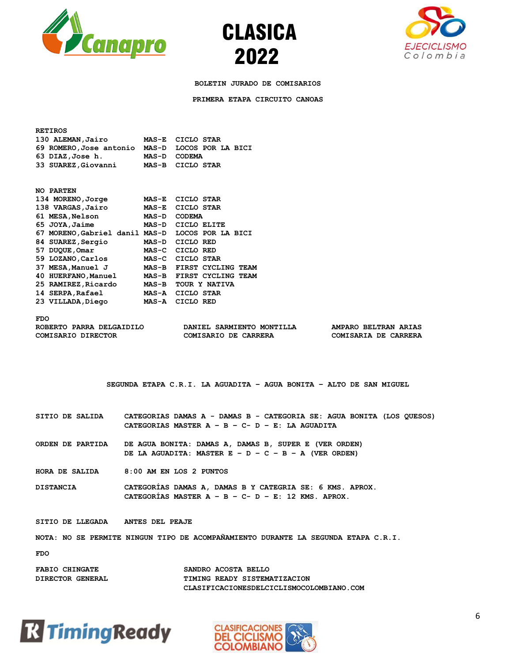





**BOLETIN JURADO DE COMISARIOS**

**PRIMERA ETAPA CIRCUITO CANOAS**

| <b>RETIROS</b>                                   |                                                                                                                    |                                                                                                                              |                                                            |  |  |
|--------------------------------------------------|--------------------------------------------------------------------------------------------------------------------|------------------------------------------------------------------------------------------------------------------------------|------------------------------------------------------------|--|--|
| 130 ALEMAN, Jairo                                |                                                                                                                    | MAS-E CICLO STAR                                                                                                             |                                                            |  |  |
| 69 ROMERO, Jose antonio MAS-D LOCOS POR LA BICI  |                                                                                                                    |                                                                                                                              |                                                            |  |  |
| 63 DIAZ, Jose h.                                 | MAS-D CODEMA                                                                                                       |                                                                                                                              |                                                            |  |  |
| 33 SUAREZ, Giovanni                              |                                                                                                                    | MAS-B CICLO STAR                                                                                                             |                                                            |  |  |
| NO PARTEN                                        |                                                                                                                    |                                                                                                                              |                                                            |  |  |
| 134 MORENO, Jorge                                |                                                                                                                    | MAS-E CICLO STAR                                                                                                             |                                                            |  |  |
| 138 VARGAS, Jairo                                |                                                                                                                    | MAS-E CICLO STAR                                                                                                             |                                                            |  |  |
| 61 MESA, Nelson                                  |                                                                                                                    | MAS-D CODEMA                                                                                                                 |                                                            |  |  |
| 65 JOYA, Jaime                                   |                                                                                                                    | MAS-D CICLO ELITE                                                                                                            |                                                            |  |  |
| 67 MORENO, Gabriel danil MAS-D LOCOS POR LA BICI |                                                                                                                    |                                                                                                                              |                                                            |  |  |
| 84 SUAREZ, Sergio                                |                                                                                                                    | MAS-D CICLO RED                                                                                                              |                                                            |  |  |
| 57 DUQUE, Omar                                   |                                                                                                                    | MAS-C CICLO RED                                                                                                              |                                                            |  |  |
| 59 LOZANO, Carlos                                |                                                                                                                    | MAS-C CICLO STAR                                                                                                             |                                                            |  |  |
| 37 MESA,Manuel J                                 |                                                                                                                    | MAS-B FIRST CYCLING TEAM                                                                                                     |                                                            |  |  |
| 40 HUERFANO, Manuel                              |                                                                                                                    | MAS-B FIRST CYCLING TEAM                                                                                                     |                                                            |  |  |
| 25 RAMIREZ, Ricardo MAS-B TOUR Y NATIVA          |                                                                                                                    |                                                                                                                              |                                                            |  |  |
| 14 SERPA, Rafael                                 |                                                                                                                    | MAS-A CICLO STAR                                                                                                             |                                                            |  |  |
| 23 VILLADA, Diego                                |                                                                                                                    | MAS-A CICLORED                                                                                                               |                                                            |  |  |
| ROBERTO PARRA DELGAIDILO<br>COMISARIO DIRECTOR   |                                                                                                                    | DANIEL SARMIENTO MONTILLA<br>COMISARIO DE CARRERA<br>SEGUNDA ETAPA C.R.I. LA AGUADITA - AGUA BONITA - ALTO DE SAN MIGUEL     | <b>AMPARO BELTRAN ARIAS</b><br><b>COMISARIA DE CARRERA</b> |  |  |
| SITIO DE SALIDA                                  |                                                                                                                    | CATEGORIAS DAMAS A - DAMAS B - CATEGORIA SE: AGUA BONITA (LOS QUESOS)<br>CATEGORIAS MASTER $A - B - C - D - E$ : LA AGUADITA |                                                            |  |  |
| ORDEN DE PARTIDA                                 |                                                                                                                    | DE AGUA BONITA: DAMAS A, DAMAS B, SUPER E (VER ORDEN)<br>DE LA AGUADITA: MASTER E - D - C - B - A (VER ORDEN)                |                                                            |  |  |
| HORA DE SALIDA                                   |                                                                                                                    | 8:00 AM EN LOS 2 PUNTOS                                                                                                      |                                                            |  |  |
| <b>DISTANCIA</b>                                 | CATEGORIAS DAMAS A, DAMAS B Y CATEGRIA SE: 6 KMS. APROX.<br>CATEGORIAS MASTER $A - B - C - D - E$ : 12 KMS. APROX. |                                                                                                                              |                                                            |  |  |
| SITIO DE LLEGADA ANTES DEL PEAJE                 |                                                                                                                    |                                                                                                                              |                                                            |  |  |
|                                                  |                                                                                                                    | NOTA: NO SE PERMITE NINGUN TIPO DE ACOMPAÑAMIENTO DURANTE LA SEGUNDA ETAPA C.R.I.                                            |                                                            |  |  |
| <b>FDO</b>                                       |                                                                                                                    |                                                                                                                              |                                                            |  |  |
| FARIO CHINCATE                                   |                                                                                                                    | SANDRO ACOSTA BELLO                                                                                                          |                                                            |  |  |





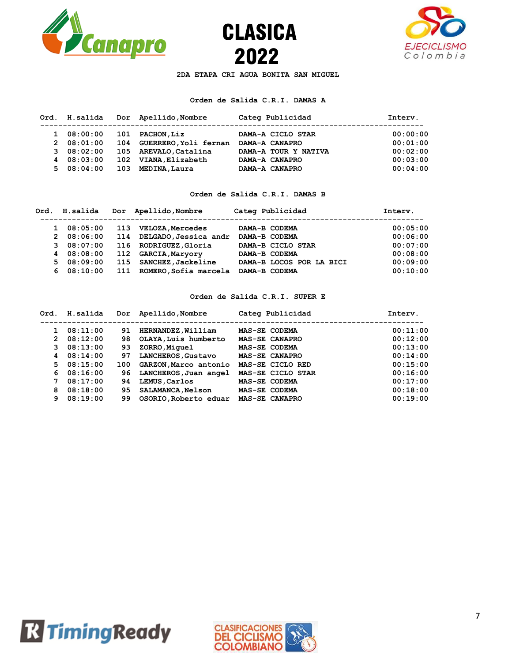





**2DA ETAPA CRI AGUA BONITA SAN MIGUEL**

# **Orden de Salida C.R.I. DAMAS A**

| Ord. H.salida |     | Dor Apellido, Nombre      | Categ Publicidad     | Intery.  |
|---------------|-----|---------------------------|----------------------|----------|
| 108:00:00     | 101 | <b>PACHON, Liz</b>        | DAMA-A CICLO STAR    | 00:00:00 |
| 208:01:00     |     | 104 GUERRERO, Yoli fernan | DAMA-A CANAPRO       | 00:01:00 |
| 308:02:00     |     | 105 AREVALO, Catalina     | DAMA-A TOUR Y NATIVA | 00:02:00 |
| 408:03:00     | 102 | VIANA, Elizabeth          | DAMA-A CANAPRO       | 00:03:00 |
| 508:04:00     | 103 | MEDINA, Laura             | DAMA-A CANAPRO       | 00:04:00 |

### **Orden de Salida C.R.I. DAMAS B**

| Ord. H.salida |     | Dor Apellido, Nombre      | Categ Publicidad         | Intery.  |
|---------------|-----|---------------------------|--------------------------|----------|
| 108:05:00     | 113 | <b>VELOZA, Mercedes</b>   | DAMA-B CODEMA            | 00:05:00 |
| 208:06:00     |     | 114 DELGADO, Jessica andr | DAMA-B CODEMA            | 00:06:00 |
| 308:07:00     |     | 116 RODRIGUEZ, Gloria     | DAMA-B CICLO STAR        | 00:07:00 |
| 4 08:08:00    | 112 | <b>GARCIA, Maryory</b>    | DAMA-B CODEMA            | 00:08:00 |
| 508:09:00     | 115 | SANCHEZ, Jackeline        | DAMA-B LOCOS POR LA BICI | 00:09:00 |
| 608:10:00     | 111 | ROMERO, Sofia marcela     | DAMA-B CODEMA            | 00:10:00 |

# **Orden de Salida C.R.I. SUPER E**

| Ord.         | H.salida  |     | Dor Apellido, Nombre     | Categ Publicidad      | Intery.  |
|--------------|-----------|-----|--------------------------|-----------------------|----------|
|              | 08:11:00  | 91  | HERNANDEZ, William       | MAS-SE CODEMA         | 00:11:00 |
| $\mathbf{2}$ | 08:12:00  | 98  | OLAYA, Luis humberto     | MAS-SE CANAPRO        | 00:12:00 |
| 3            | 08:13:00  | 93  | ZORRO, Miquel            | MAS-SE CODEMA         | 00:13:00 |
| 4            | 08:14:00  | 97  | LANCHEROS, Gustavo       | MAS-SE CANAPRO        | 00:14:00 |
|              | 508:15:00 | 100 | GARZON, Marco antonio    | MAS-SE CICLO RED      | 00:15:00 |
|              | 608:16:00 | 96. | LANCHEROS, Juan angel    | MAS-SE CICLO STAR     | 00:16:00 |
| 7            | 08:17:00  | 94  | LEMUS, Carlos            | MAS-SE CODEMA         | 00:17:00 |
| 8            | 08:18:00  | 95. | <b>SALAMANCA, Nelson</b> | MAS-SE CODEMA         | 00:18:00 |
| 9            | 08:19:00  | 99  | OSORIO, Roberto eduar    | <b>MAS-SE CANAPRO</b> | 00:19:00 |



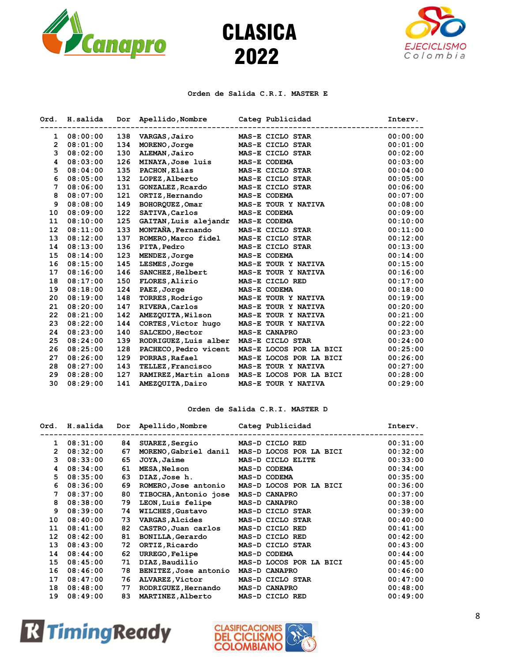





### **Orden de Salida C.R.I. MASTER E**

| H.salida | Dor | Apellido, Nombre      | Categ Publicidad        | Interv.                                        |
|----------|-----|-----------------------|-------------------------|------------------------------------------------|
| 08:00:00 | 138 | VARGAS, Jairo         | MAS-E CICLO STAR        | 00:00:00                                       |
| 08:01:00 | 134 | MORENO, Jorge         | MAS-E CICLO STAR        | 00:01:00                                       |
| 08:02:00 | 130 | ALEMAN, Jairo         | MAS-E CICLO STAR        | 00:02:00                                       |
| 08:03:00 | 126 | MINAYA, Jose luis     | MAS-E CODEMA            | 00:03:00                                       |
| 08:04:00 | 135 | PACHON, Elias         | MAS-E CICLO STAR        | 00:04:00                                       |
| 08:05:00 | 132 | LOPEZ, Alberto        | MAS-E CICLO STAR        | 00:05:00                                       |
| 08:06:00 | 131 | GONZALEZ, Roardo      | MAS-E CICLO STAR        | 00:06:00                                       |
| 08:07:00 | 121 | ORTIZ, Hernando       | MAS-E CODEMA            | 00:07:00                                       |
| 08:08:00 | 149 | BOHORQUEZ, Omar       | MAS-E TOUR Y NATIVA     | 00:08:00                                       |
| 08:09:00 | 122 | SATIVA, Carlos        | MAS-E CODEMA            | 00:09:00                                       |
| 08:10:00 | 125 |                       | MAS-E CODEMA            | 00:10:00                                       |
| 08:11:00 | 133 | MONTAÑA, Fernando     | MAS-E CICLO STAR        | 00:11:00                                       |
| 08:12:00 | 137 | ROMERO, Marco fidel   | MAS-E CICLO STAR        | 00:12:00                                       |
| 08:13:00 | 136 | <b>PITA, Pedro</b>    | MAS-E CICLO STAR        | 00:13:00                                       |
| 08:14:00 | 123 | MENDEZ, Jorge         | MAS-E CODEMA            | 00:14:00                                       |
| 08:15:00 | 145 | LESMES, Jorge         | MAS-E TOUR Y NATIVA     | 00:15:00                                       |
| 08:16:00 | 146 | SANCHEZ, Helbert      | MAS-E TOUR Y NATIVA     | 00:16:00                                       |
| 08:17:00 | 150 | FLORES, Alirio        | MAS-E CICLO RED         | 00:17:00                                       |
| 08:18:00 | 124 | PAEZ, Jorge           | MAS-E CODEMA            | 00:18:00                                       |
| 08:19:00 | 148 | TORRES, Rodrigo       | MAS-E TOUR Y NATIVA     | 00:19:00                                       |
| 08:20:00 | 147 | RIVERA, Carlos        | MAS-E TOUR Y NATIVA     | 00:20:00                                       |
| 08:21:00 | 142 | AMEZQUITA, Wilson     | MAS-E TOUR Y NATIVA     | 00:21:00                                       |
| 08:22:00 | 144 | CORTES, Victor hugo   | MAS-E TOUR Y NATIVA     | 00:22:00                                       |
| 08:23:00 | 140 | SALCEDO, Hector       | MAS-E CANAPRO           | 00:23:00                                       |
| 08:24:00 | 139 |                       | MAS-E CICLO STAR        | 00:24:00                                       |
| 08:25:00 | 128 | PACHECO, Pedro vicent | MAS-E LOCOS POR LA BICI | 00:25:00                                       |
| 08:26:00 | 129 | PORRAS, Rafael        | MAS-E LOCOS POR LA BICI | 00:26:00                                       |
| 08:27:00 | 143 | TELLEZ, Francisco     | MAS-E TOUR Y NATIVA     | 00:27:00                                       |
| 08:28:00 | 127 | RAMIREZ, Martin alons | MAS-E LOCOS POR LA BICI | 00:28:00                                       |
| 08:29:00 | 141 | AMEZQUITA, Dairo      | MAS-E TOUR Y NATIVA     | 00:29:00                                       |
|          |     |                       |                         | GAITAN, Luis alejandr<br>RODRIGUEZ, Luis alber |

# **Orden de Salida C.R.I. MASTER D**

| Ord.            | H.salida |    | Dor Apellido, Nombre     | Categ Publicidad        | Intery.  |
|-----------------|----------|----|--------------------------|-------------------------|----------|
| 1               | 08:31:00 | 84 | SUAREZ, Sergio           | MAS-D CICLO RED         | 00:31:00 |
| $\mathbf{2}$    | 08:32:00 | 67 | MORENO, Gabriel danil    | MAS-D LOCOS POR LA BICI | 00:32:00 |
| 3               | 08:33:00 | 65 | <b>JOYA, Jaime</b>       | MAS-D CICLO ELITE       | 00:33:00 |
| 4               | 08:34:00 | 61 | <b>MESA, Nelson</b>      | MAS-D CODEMA            | 00:34:00 |
| 5.              | 08:35:00 | 63 | DIAZ, Jose h.            | MAS-D CODEMA            | 00:35:00 |
| 6               | 08:36:00 | 69 | ROMERO, Jose antonio     | MAS-D LOCOS POR LA BICI | 00:36:00 |
| 7               | 08:37:00 | 80 | TIBOCHA, Antonio jose    | MAS-D CANAPRO           | 00:37:00 |
| 8               | 08:38:00 | 79 | LEON, Luis felipe        | MAS-D CANAPRO           | 00:38:00 |
| 9               | 08:39:00 | 74 | <b>WILCHES, Gustavo</b>  | MAS-D CICLO STAR        | 00:39:00 |
| 10              | 08:40:00 | 73 | <b>VARGAS, Alcides</b>   | MAS-D CICLO STAR        | 00:40:00 |
| 11              | 08:41:00 | 82 | CASTRO, Juan carlos      | MAS-D CICLO RED         | 00:41:00 |
| 12 <sup>1</sup> | 08:42:00 | 81 | <b>BONILLA, Gerardo</b>  | MAS-D CICLO RED         | 00:42:00 |
| 13              | 08:43:00 | 72 | ORTIZ,Ricardo            | MAS-D CICLO STAR        | 00:43:00 |
| 14              | 08:44:00 | 62 | URREGO, Felipe           | MAS-D CODEMA            | 00:44:00 |
| 15              | 08:45:00 | 71 | DIAZ,Baudilio            | MAS-D LOCOS POR LA BICI | 00:45:00 |
| 16              | 08:46:00 | 78 | BENITEZ, Jose antonio    | MAS-D CANAPRO           | 00:46:00 |
| 17              | 08:47:00 | 76 | <b>ALVAREZ,Victor</b>    | MAS-D CICLO STAR        | 00:47:00 |
| 18              | 08:48:00 | 77 | RODRIGUEZ, Hernando      | <b>MAS-D CANAPRO</b>    | 00:48:00 |
| 19              | 08:49:00 | 83 | <b>MARTINEZ, Alberto</b> | MAS-D CICLO RED         | 00:49:00 |



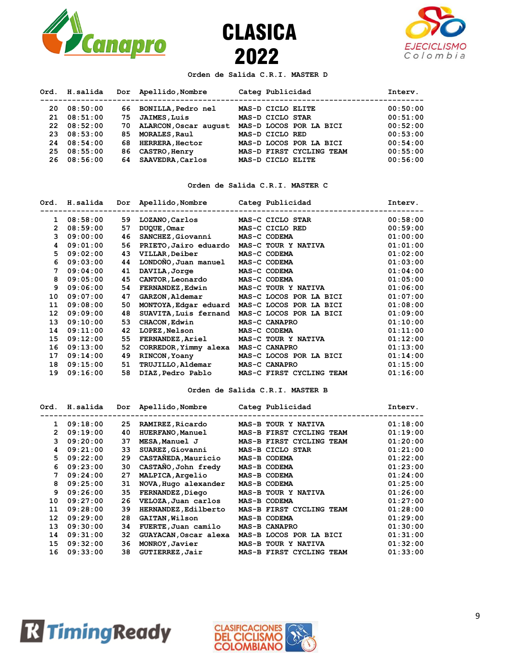

2022 CLASICA



### **Orden de Salida C.R.I. MASTER D**

| Ord. | H.salida   |     | Dor Apellido, Nombre   | Categ Publicidad         | Intery.  |
|------|------------|-----|------------------------|--------------------------|----------|
| 20.  | 08:50:00   |     | 66 BONILLA, Pedro nel  | MAS-D CICLO ELITE        | 00:50:00 |
| 21   | 08:51:00   | 75  | <b>JAIMES, Luis</b>    | MAS-D CICLO STAR         | 00:51:00 |
|      | 2208:52:00 | 70. | ALARCON, Oscar august  | MAS-D LOCOS POR LA BICI  | 00:52:00 |
| 23   | 08:53:00   | 85. | MORALES, Raul          | MAS-D CICLO RED          | 00:53:00 |
| 24   | 08:54:00   | 68  | <b>HERRERA, Hector</b> | MAS-D LOCOS POR LA BICI  | 00:54:00 |
| 25   | 08:55:00   | 86  | CASTRO, Henry          | MAS-D FIRST CYCLING TEAM | 00:55:00 |
| 26.  | 08:56:00   | 64  | SAAVEDRA, Carlos       | MAS-D CICLO ELITE        | 00:56:00 |

### **Orden de Salida C.R.I. MASTER C**

| Ord.         | H.salida | Dor | Apellido,Nombre          | Categ Publicidad         | Intery.  |
|--------------|----------|-----|--------------------------|--------------------------|----------|
| 1            | 08:58:00 | 59  | LOZANO, Carlos           | MAS-C CICLO STAR         | 00:58:00 |
| $\mathbf{2}$ | 08:59:00 | 57  | DUQUE, Omar              | MAS-C CICLO RED          | 00:59:00 |
| 3            | 09:00:00 | 46  | SANCHEZ, Giovanni        | MAS-C CODEMA             | 01:00:00 |
| 4            | 09:01:00 | 56  | PRIETO, Jairo eduardo    | MAS-C TOUR Y NATIVA      | 01:01:00 |
| 5.           | 09:02:00 | 43  | VILLAR, Deiber           | MAS-C CODEMA             | 01:02:00 |
| 6            | 09:03:00 | 44  | LONDONO, Juan manuel     | MAS-C CODEMA             | 01:03:00 |
| 7            | 09:04:00 | 41  | DAVILA, Jorge            | MAS-C CODEMA             | 01:04:00 |
| 8            | 09:05:00 | 45  | <b>CANTOR, Leonardo</b>  | MAS-C CODEMA             | 01:05:00 |
| 9            | 09:06:00 | 54  | <b>FERNANDEZ, Edwin</b>  | MAS-C TOUR Y NATIVA      | 01:06:00 |
| 10           | 09:07:00 | 47  | <b>GARZON, Aldemar</b>   | MAS-C LOCOS POR LA BICI  | 01:07:00 |
| 11           | 09:08:00 | 50  | MONTOYA, Edgar eduard    | MAS-C LOCOS POR LA BICI  | 01:08:00 |
| 12           | 09:09:00 | 48  | SUAVITA, Luis fernand    | MAS-C LOCOS POR LA BICI  | 01:09:00 |
| 13           | 09:10:00 | 53  | CHACON, Edwin            | MAS-C CANAPRO            | 01:10:00 |
| 14           | 09:11:00 | 42  | <b>LOPEZ,Nelson</b>      | MAS-C CODEMA             | 01:11:00 |
| 15           | 09:12:00 | 55  | <b>FERNANDEZ, Ariel</b>  | MAS-C TOUR Y NATIVA      | 01:12:00 |
| 16           | 09:13:00 | 52  | CORREDOR, Yimmy alexa    | MAS-C CANAPRO            | 01:13:00 |
| 17           | 09:14:00 | 49  | RINCON, Yoany            | MAS-C LOCOS POR LA BICI  | 01:14:00 |
| 18           | 09:15:00 | 51  | <b>TRUJILLO, Aldemar</b> | MAS-C CANAPRO            | 01:15:00 |
| 19           | 09:16:00 | 58  | DIAZ, Pedro Pablo        | MAS-C FIRST CYCLING TEAM | 01:16:00 |

#### **Orden de Salida C.R.I. MASTER B**

| Ord.         | H.salida | Dor | Apellido, Nombre      | Categ Publicidad         | Interv.  |
|--------------|----------|-----|-----------------------|--------------------------|----------|
| $\mathbf{1}$ | 09:18:00 | 25  | RAMIREZ, Ricardo      | MAS-B TOUR Y NATIVA      | 01:18:00 |
| 2            | 09:19:00 | 40  | HUERFANO, Manuel      | MAS-B FIRST CYCLING TEAM | 01:19:00 |
| 3.           | 09:20:00 | 37  | MESA, Manuel J        | MAS-B FIRST CYCLING TEAM | 01:20:00 |
| 4            | 09:21:00 | 33  | SUAREZ, Giovanni      | MAS-B CICLO STAR         | 01:21:00 |
| 5.           | 09:22:00 | 29  | CASTAÑEDA, Mauricio   | MAS-B CODEMA             | 01:22:00 |
| 6            | 09:23:00 | 30  | CASTAÑO, John fredy   | MAS-B CODEMA             | 01:23:00 |
| 7            | 09:24:00 | 27  | MALPICA, Argelio      | MAS-B CODEMA             | 01:24:00 |
| 8            | 09:25:00 | 31  | NOVA, Hugo alexander  | MAS-B CODEMA             | 01:25:00 |
| 9            | 09:26:00 | 35  | FERNANDEZ, Diego      | MAS-B TOUR Y NATIVA      | 01:26:00 |
| 10           | 09:27:00 | 26  | VELOZA, Juan carlos   | MAS-B CODEMA             | 01:27:00 |
| 11           | 09:28:00 | 39  | HERNANDEZ, Edilberto  | MAS-B FIRST CYCLING TEAM | 01:28:00 |
| 12           | 09:29:00 | 28  | <b>GAITAN, Wilson</b> | MAS-B CODEMA             | 01:29:00 |
| 13           | 09:30:00 | 34  | FUERTE, Juan camilo   | MAS-B CANAPRO            | 01:30:00 |
| 14           | 09:31:00 | 32  | GUAYACAN, Oscar alexa | MAS-B LOCOS POR LA BICI  | 01:31:00 |
| 15           | 09:32:00 | 36  | MONROY, Javier        | MAS-B TOUR Y NATIVA      | 01:32:00 |
| 16           | 09:33:00 | 38  | GUTIERREZ, Jair       | MAS-B FIRST CYCLING TEAM | 01:33:00 |